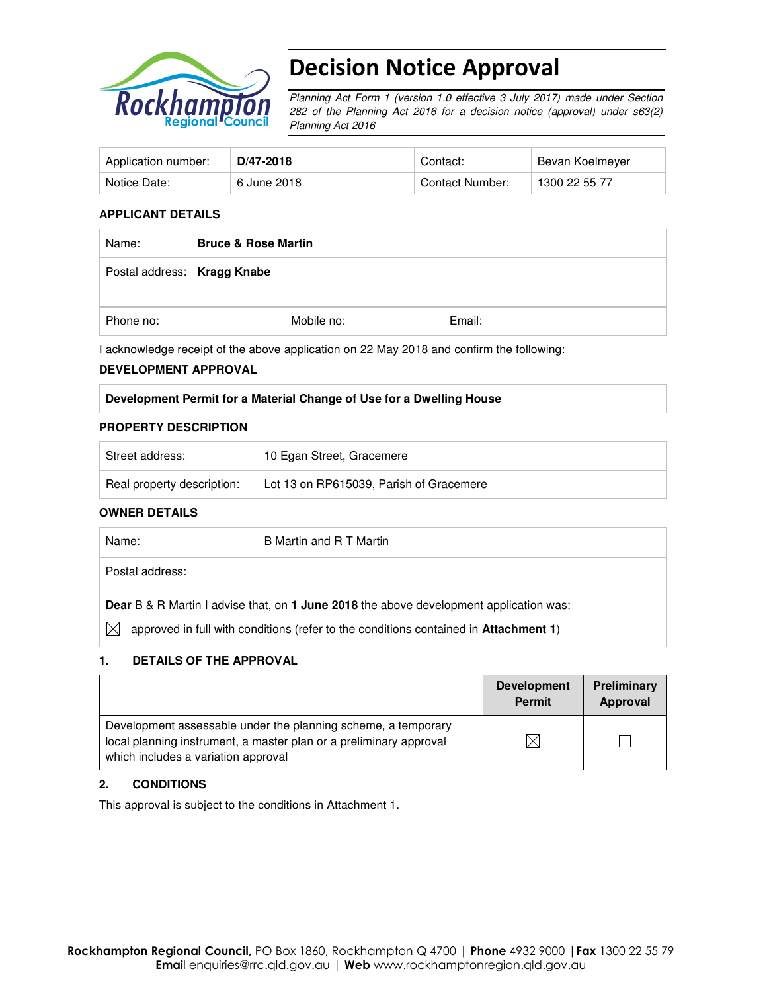

# Decision Notice Approval

Planning Act Form 1 (version 1.0 effective 3 July 2017) made under Section 282 of the Planning Act 2016 for a decision notice (approval) under s63(2) Planning Act 2016

| Application number: | D/47-2018   | Contact:        | Bevan Koelmeyer |
|---------------------|-------------|-----------------|-----------------|
| Notice Date:        | 6 June 2018 | Contact Number: | 1300 22 55 77   |

#### **APPLICANT DETAILS**

| Name:                       | <b>Bruce &amp; Rose Martin</b> |            |        |
|-----------------------------|--------------------------------|------------|--------|
| Postal address: Kragg Knabe |                                |            |        |
| Phone no:                   |                                | Mobile no: | Email: |

I acknowledge receipt of the above application on 22 May 2018 and confirm the following:

#### **DEVELOPMENT APPROVAL**

#### **Development Permit for a Material Change of Use for a Dwelling House**

#### **PROPERTY DESCRIPTION**

| Street address:            | 10 Egan Street, Gracemere               |
|----------------------------|-----------------------------------------|
| Real property description: | Lot 13 on RP615039, Parish of Gracemere |

#### **OWNER DETAILS**

| Name:           | B Martin and R T Martin                                                                       |
|-----------------|-----------------------------------------------------------------------------------------------|
| Postal address: |                                                                                               |
|                 | <b>Dear</b> B & R Martin I advise that, on 1 June 2018 the above development application was: |
| M               | approved in full with conditions (refer to the conditions contained in Attachment 1)          |

#### **1. DETAILS OF THE APPROVAL**

|                                                                                                                                                                            | <b>Development</b><br><b>Permit</b> | Preliminary<br>Approval |
|----------------------------------------------------------------------------------------------------------------------------------------------------------------------------|-------------------------------------|-------------------------|
| Development assessable under the planning scheme, a temporary<br>local planning instrument, a master plan or a preliminary approval<br>which includes a variation approval |                                     |                         |

#### **2. CONDITIONS**

This approval is subject to the conditions in Attachment 1.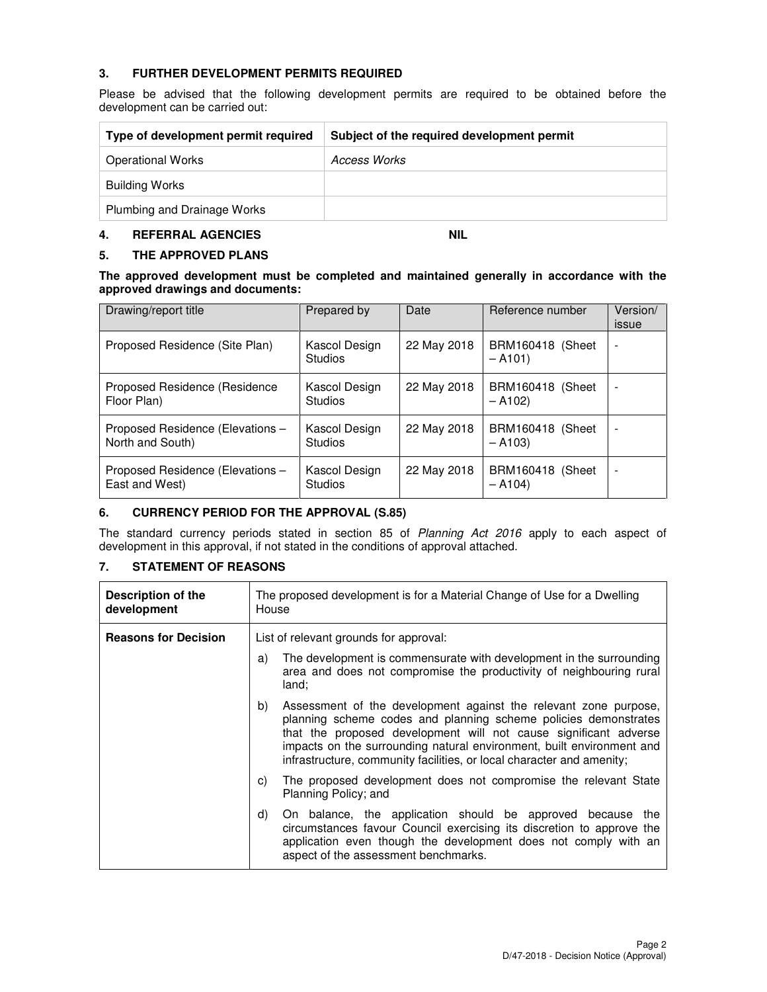### **3. FURTHER DEVELOPMENT PERMITS REQUIRED**

Please be advised that the following development permits are required to be obtained before the development can be carried out:

| Type of development permit required | Subject of the required development permit |
|-------------------------------------|--------------------------------------------|
| <b>Operational Works</b>            | Access Works                               |
| <b>Building Works</b>               |                                            |
| Plumbing and Drainage Works         |                                            |

## **4. REFERRAL AGENCIES NIL**

#### **5. THE APPROVED PLANS**

**The approved development must be completed and maintained generally in accordance with the approved drawings and documents:** 

| Drawing/report title                                 | Prepared by                     | Date        | Reference number             | Version/<br>issue |
|------------------------------------------------------|---------------------------------|-------------|------------------------------|-------------------|
| Proposed Residence (Site Plan)                       | Kascol Design<br><b>Studios</b> | 22 May 2018 | BRM160418 (Sheet<br>$- A101$ |                   |
| Proposed Residence (Residence<br>Floor Plan)         | Kascol Design<br><b>Studios</b> | 22 May 2018 | BRM160418 (Sheet<br>$- A102$ |                   |
| Proposed Residence (Elevations -<br>North and South) | Kascol Design<br><b>Studios</b> | 22 May 2018 | BRM160418 (Sheet<br>$- A103$ |                   |
| Proposed Residence (Elevations -<br>East and West)   | Kascol Design<br><b>Studios</b> | 22 May 2018 | BRM160418 (Sheet<br>$- A104$ |                   |

#### **6. CURRENCY PERIOD FOR THE APPROVAL (S.85)**

The standard currency periods stated in section 85 of Planning Act 2016 apply to each aspect of development in this approval, if not stated in the conditions of approval attached.

## **7. STATEMENT OF REASONS**

| <b>Description of the</b><br>development | The proposed development is for a Material Change of Use for a Dwelling<br>House                                                                                                                                                                                                                                                                                |  |  |
|------------------------------------------|-----------------------------------------------------------------------------------------------------------------------------------------------------------------------------------------------------------------------------------------------------------------------------------------------------------------------------------------------------------------|--|--|
| <b>Reasons for Decision</b>              | List of relevant grounds for approval:                                                                                                                                                                                                                                                                                                                          |  |  |
|                                          | The development is commensurate with development in the surrounding<br>a)<br>area and does not compromise the productivity of neighbouring rural<br>land;                                                                                                                                                                                                       |  |  |
|                                          | b)<br>Assessment of the development against the relevant zone purpose,<br>planning scheme codes and planning scheme policies demonstrates<br>that the proposed development will not cause significant adverse<br>impacts on the surrounding natural environment, built environment and<br>infrastructure, community facilities, or local character and amenity; |  |  |
|                                          | The proposed development does not compromise the relevant State<br>C)<br>Planning Policy; and                                                                                                                                                                                                                                                                   |  |  |
|                                          | On balance, the application should be approved because the<br>d)<br>circumstances favour Council exercising its discretion to approve the<br>application even though the development does not comply with an<br>aspect of the assessment benchmarks.                                                                                                            |  |  |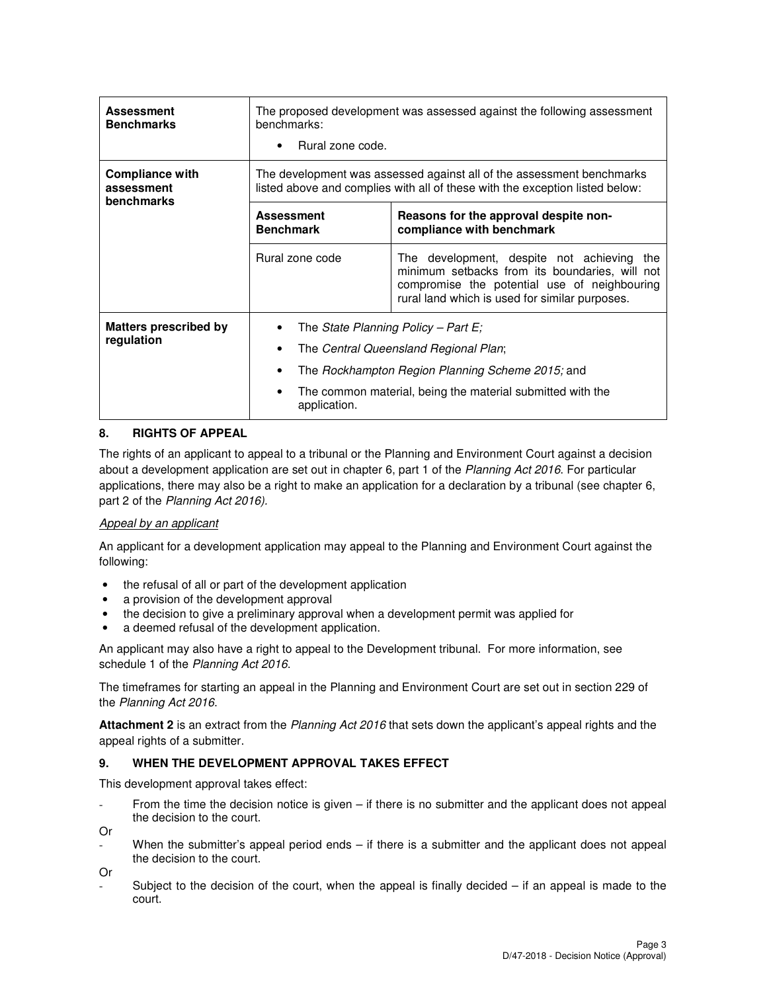| <b>Assessment</b><br><b>Benchmarks</b>             | The proposed development was assessed against the following assessment<br>benchmarks:<br>Rural zone code.                                                                                                      |                                                                                                                                                                                                |  |
|----------------------------------------------------|----------------------------------------------------------------------------------------------------------------------------------------------------------------------------------------------------------------|------------------------------------------------------------------------------------------------------------------------------------------------------------------------------------------------|--|
| Compliance with<br>assessment<br><b>benchmarks</b> | The development was assessed against all of the assessment benchmarks<br>listed above and complies with all of these with the exception listed below:                                                          |                                                                                                                                                                                                |  |
|                                                    | <b>Assessment</b><br><b>Benchmark</b>                                                                                                                                                                          | Reasons for the approval despite non-<br>compliance with benchmark                                                                                                                             |  |
|                                                    | Rural zone code                                                                                                                                                                                                | The development, despite not achieving the<br>minimum setbacks from its boundaries, will not<br>compromise the potential use of neighbouring<br>rural land which is used for similar purposes. |  |
| <b>Matters prescribed by</b><br>regulation         | The State Planning Policy – Part E;<br>The Central Queensland Regional Plan;<br>The Rockhampton Region Planning Scheme 2015; and<br>The common material, being the material submitted with the<br>application. |                                                                                                                                                                                                |  |

## **8. RIGHTS OF APPEAL**

The rights of an applicant to appeal to a tribunal or the Planning and Environment Court against a decision about a development application are set out in chapter 6, part 1 of the Planning Act 2016. For particular applications, there may also be a right to make an application for a declaration by a tribunal (see chapter 6, part 2 of the Planning Act 2016).

## Appeal by an applicant

An applicant for a development application may appeal to the Planning and Environment Court against the following:

- the refusal of all or part of the development application
- a provision of the development approval
- the decision to give a preliminary approval when a development permit was applied for
- a deemed refusal of the development application.

An applicant may also have a right to appeal to the Development tribunal. For more information, see schedule 1 of the Planning Act 2016.

The timeframes for starting an appeal in the Planning and Environment Court are set out in section 229 of the Planning Act 2016.

**Attachment 2** is an extract from the Planning Act 2016 that sets down the applicant's appeal rights and the appeal rights of a submitter.

#### **9. WHEN THE DEVELOPMENT APPROVAL TAKES EFFECT**

This development approval takes effect:

From the time the decision notice is given  $-$  if there is no submitter and the applicant does not appeal the decision to the court.

Or

When the submitter's appeal period ends  $-$  if there is a submitter and the applicant does not appeal the decision to the court.

Or

Subject to the decision of the court, when the appeal is finally decided  $-$  if an appeal is made to the court.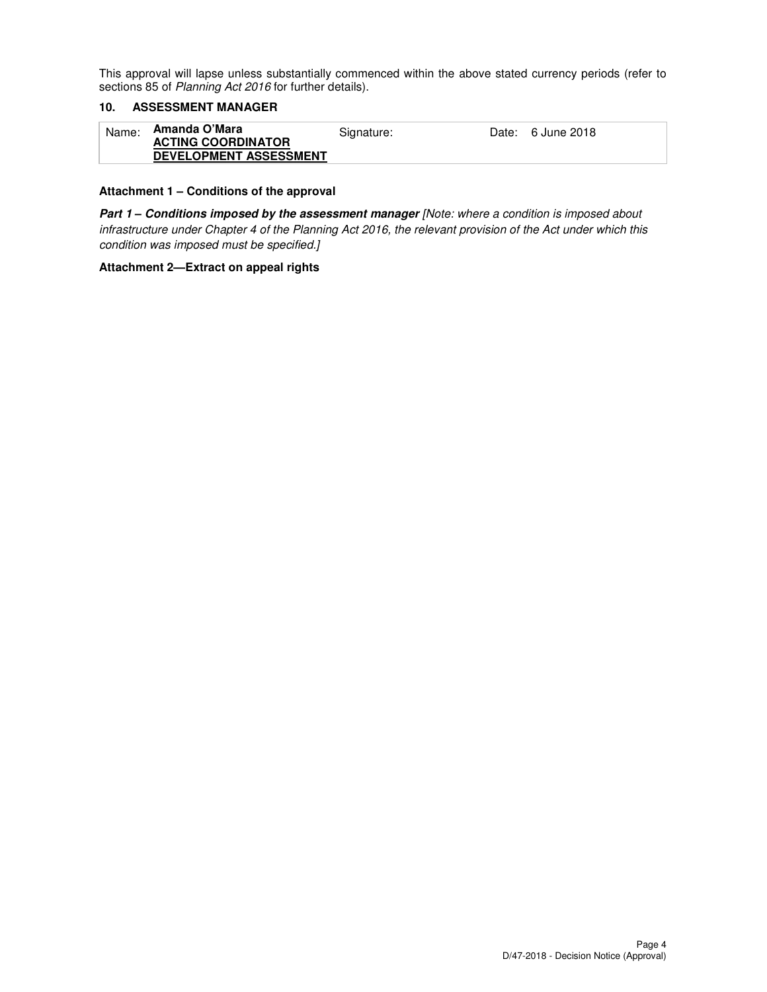This approval will lapse unless substantially commenced within the above stated currency periods (refer to sections 85 of Planning Act 2016 for further details).

## **10. ASSESSMENT MANAGER**

#### **Attachment 1 – Conditions of the approval**

**Part 1 – Conditions imposed by the assessment manager** [Note: where a condition is imposed about infrastructure under Chapter 4 of the Planning Act 2016, the relevant provision of the Act under which this condition was imposed must be specified.]

#### **Attachment 2—Extract on appeal rights**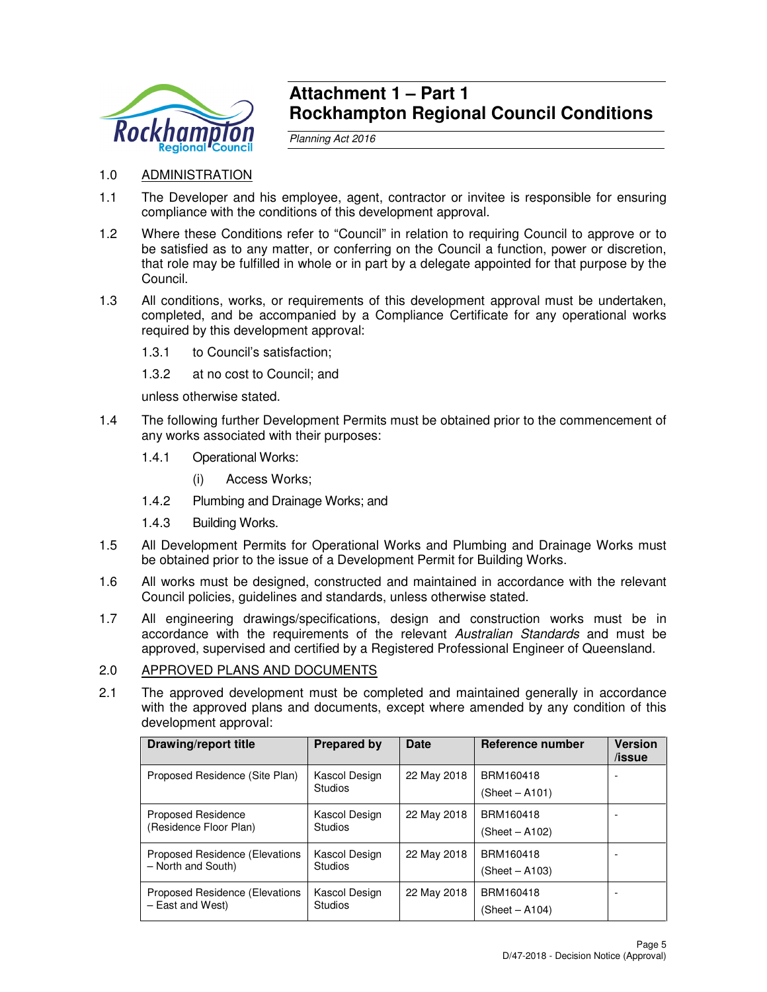

## **Attachment 1 – Part 1 Rockhampton Regional Council Conditions**

Planning Act 2016

## 1.0 ADMINISTRATION

- 1.1 The Developer and his employee, agent, contractor or invitee is responsible for ensuring compliance with the conditions of this development approval.
- 1.2 Where these Conditions refer to "Council" in relation to requiring Council to approve or to be satisfied as to any matter, or conferring on the Council a function, power or discretion, that role may be fulfilled in whole or in part by a delegate appointed for that purpose by the Council.
- 1.3 All conditions, works, or requirements of this development approval must be undertaken, completed, and be accompanied by a Compliance Certificate for any operational works required by this development approval:
	- 1.3.1 to Council's satisfaction;
	- 1.3.2 at no cost to Council; and

unless otherwise stated.

- 1.4 The following further Development Permits must be obtained prior to the commencement of any works associated with their purposes:
	- 1.4.1 Operational Works:
		- (i) Access Works;
	- 1.4.2 Plumbing and Drainage Works; and
	- 1.4.3 Building Works.
- 1.5 All Development Permits for Operational Works and Plumbing and Drainage Works must be obtained prior to the issue of a Development Permit for Building Works.
- 1.6 All works must be designed, constructed and maintained in accordance with the relevant Council policies, guidelines and standards, unless otherwise stated.
- 1.7 All engineering drawings/specifications, design and construction works must be in accordance with the requirements of the relevant Australian Standards and must be approved, supervised and certified by a Registered Professional Engineer of Queensland.

## 2.0 APPROVED PLANS AND DOCUMENTS

2.1 The approved development must be completed and maintained generally in accordance with the approved plans and documents, except where amended by any condition of this development approval:

| Drawing/report title                                 | <b>Prepared by</b>              | <b>Date</b> | Reference number            | <b>Version</b><br>/issue |
|------------------------------------------------------|---------------------------------|-------------|-----------------------------|--------------------------|
| Proposed Residence (Site Plan)                       | Kascol Design<br><b>Studios</b> | 22 May 2018 | BRM160418<br>(Sheet – A101) |                          |
| <b>Proposed Residence</b><br>(Residence Floor Plan)  | Kascol Design<br><b>Studios</b> | 22 May 2018 | BRM160418<br>(Sheet – A102) | -                        |
| Proposed Residence (Elevations<br>- North and South) | Kascol Design<br><b>Studios</b> | 22 May 2018 | BRM160418<br>(Sheet – A103) |                          |
| Proposed Residence (Elevations<br>- East and West)   | Kascol Design<br><b>Studios</b> | 22 May 2018 | BRM160418<br>(Sheet – A104) | -                        |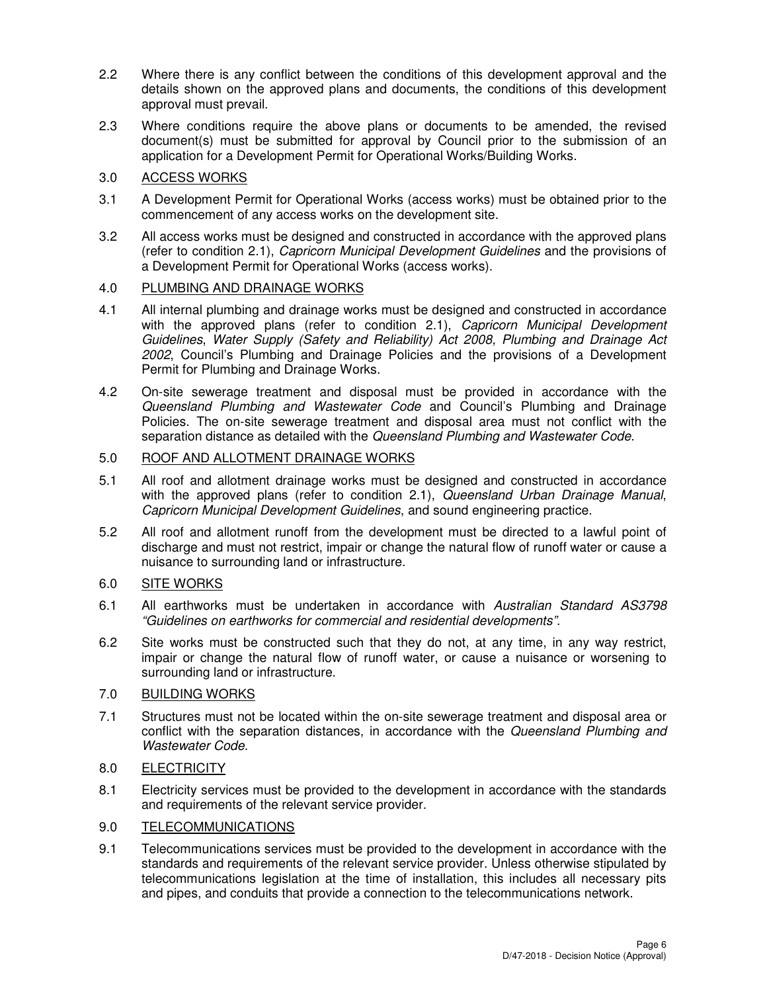- 2.2 Where there is any conflict between the conditions of this development approval and the details shown on the approved plans and documents, the conditions of this development approval must prevail.
- 2.3 Where conditions require the above plans or documents to be amended, the revised document(s) must be submitted for approval by Council prior to the submission of an application for a Development Permit for Operational Works/Building Works.

## 3.0 ACCESS WORKS

- 3.1 A Development Permit for Operational Works (access works) must be obtained prior to the commencement of any access works on the development site.
- 3.2 All access works must be designed and constructed in accordance with the approved plans (refer to condition 2.1), Capricorn Municipal Development Guidelines and the provisions of a Development Permit for Operational Works (access works).

## 4.0 PLUMBING AND DRAINAGE WORKS

- 4.1 All internal plumbing and drainage works must be designed and constructed in accordance with the approved plans (refer to condition 2.1), Capricorn Municipal Development Guidelines, Water Supply (Safety and Reliability) Act 2008, Plumbing and Drainage Act 2002, Council's Plumbing and Drainage Policies and the provisions of a Development Permit for Plumbing and Drainage Works.
- 4.2 On-site sewerage treatment and disposal must be provided in accordance with the Queensland Plumbing and Wastewater Code and Council's Plumbing and Drainage Policies. The on-site sewerage treatment and disposal area must not conflict with the separation distance as detailed with the Queensland Plumbing and Wastewater Code.

### 5.0 ROOF AND ALLOTMENT DRAINAGE WORKS

- 5.1 All roof and allotment drainage works must be designed and constructed in accordance with the approved plans (refer to condition 2.1), Queensland Urban Drainage Manual, Capricorn Municipal Development Guidelines, and sound engineering practice.
- 5.2 All roof and allotment runoff from the development must be directed to a lawful point of discharge and must not restrict, impair or change the natural flow of runoff water or cause a nuisance to surrounding land or infrastructure.

## 6.0 SITE WORKS

- 6.1 All earthworks must be undertaken in accordance with Australian Standard AS3798 "Guidelines on earthworks for commercial and residential developments".
- 6.2 Site works must be constructed such that they do not, at any time, in any way restrict, impair or change the natural flow of runoff water, or cause a nuisance or worsening to surrounding land or infrastructure.

#### 7.0 BUILDING WORKS

7.1 Structures must not be located within the on-site sewerage treatment and disposal area or conflict with the separation distances, in accordance with the Queensland Plumbing and Wastewater Code.

## 8.0 ELECTRICITY

8.1 Electricity services must be provided to the development in accordance with the standards and requirements of the relevant service provider.

## 9.0 TELECOMMUNICATIONS

9.1 Telecommunications services must be provided to the development in accordance with the standards and requirements of the relevant service provider. Unless otherwise stipulated by telecommunications legislation at the time of installation, this includes all necessary pits and pipes, and conduits that provide a connection to the telecommunications network.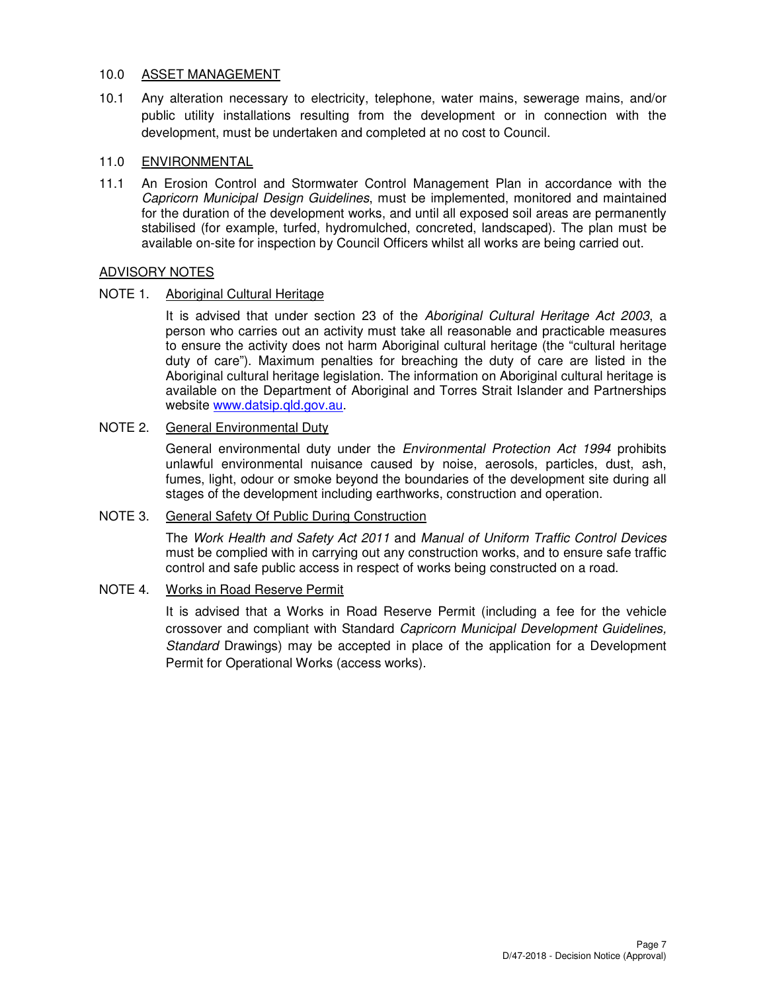#### 10.0 ASSET MANAGEMENT

10.1 Any alteration necessary to electricity, telephone, water mains, sewerage mains, and/or public utility installations resulting from the development or in connection with the development, must be undertaken and completed at no cost to Council.

## 11.0 ENVIRONMENTAL

11.1 An Erosion Control and Stormwater Control Management Plan in accordance with the Capricorn Municipal Design Guidelines, must be implemented, monitored and maintained for the duration of the development works, and until all exposed soil areas are permanently stabilised (for example, turfed, hydromulched, concreted, landscaped). The plan must be available on-site for inspection by Council Officers whilst all works are being carried out.

### ADVISORY NOTES

### NOTE 1. Aboriginal Cultural Heritage

It is advised that under section 23 of the Aboriginal Cultural Heritage Act 2003, a person who carries out an activity must take all reasonable and practicable measures to ensure the activity does not harm Aboriginal cultural heritage (the "cultural heritage duty of care"). Maximum penalties for breaching the duty of care are listed in the Aboriginal cultural heritage legislation. The information on Aboriginal cultural heritage is available on the Department of Aboriginal and Torres Strait Islander and Partnerships website www.datsip.qld.gov.au.

## NOTE 2. General Environmental Duty

General environmental duty under the Environmental Protection Act 1994 prohibits unlawful environmental nuisance caused by noise, aerosols, particles, dust, ash, fumes, light, odour or smoke beyond the boundaries of the development site during all stages of the development including earthworks, construction and operation.

## NOTE 3. General Safety Of Public During Construction

The Work Health and Safety Act 2011 and Manual of Uniform Traffic Control Devices must be complied with in carrying out any construction works, and to ensure safe traffic control and safe public access in respect of works being constructed on a road.

#### NOTE 4. Works in Road Reserve Permit

It is advised that a Works in Road Reserve Permit (including a fee for the vehicle crossover and compliant with Standard Capricorn Municipal Development Guidelines, Standard Drawings) may be accepted in place of the application for a Development Permit for Operational Works (access works).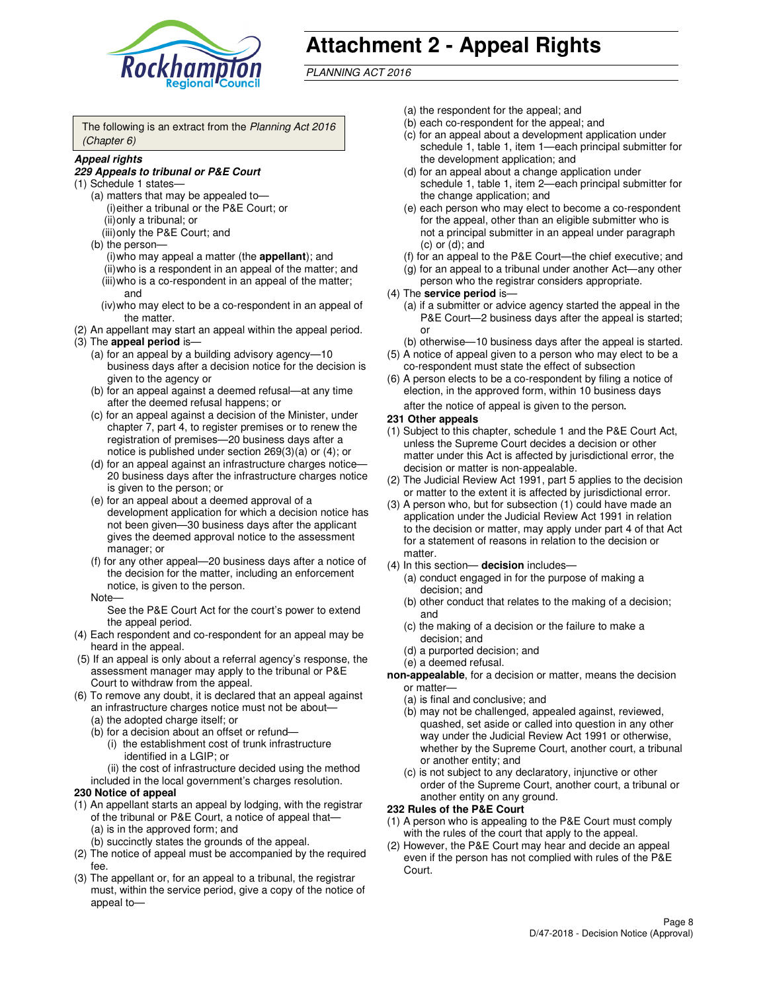

# **Attachment 2 - Appeal Rights**

PLANNING ACT 2016

The following is an extract from the Planning Act 2016 (Chapter 6)

#### **Appeal rights**

#### **229 Appeals to tribunal or P&E Court**

- (1) Schedule 1 states—
	- (a) matters that may be appealed to— (i) either a tribunal or the P&E Court; or (ii) only a tribunal; or (iii) only the P&E Court; and
	- (b) the person—
		- (i) who may appeal a matter (the **appellant**); and
		- (ii) who is a respondent in an appeal of the matter; and (iii) who is a co-respondent in an appeal of the matter; and
		- (iv) who may elect to be a co-respondent in an appeal of the matter.
- (2) An appellant may start an appeal within the appeal period.
- (3) The **appeal period** is—
	- (a) for an appeal by a building advisory agency—10 business days after a decision notice for the decision is given to the agency or
	- (b) for an appeal against a deemed refusal—at any time after the deemed refusal happens; or
	- (c) for an appeal against a decision of the Minister, under chapter 7, part 4, to register premises or to renew the registration of premises—20 business days after a notice is published under section 269(3)(a) or (4); or
	- (d) for an appeal against an infrastructure charges notice— 20 business days after the infrastructure charges notice is given to the person; or
	- (e) for an appeal about a deemed approval of a development application for which a decision notice has not been given—30 business days after the applicant gives the deemed approval notice to the assessment manager; or
	- (f) for any other appeal—20 business days after a notice of the decision for the matter, including an enforcement notice, is given to the person.
	- Note—

See the P&E Court Act for the court's power to extend the appeal period.

- (4) Each respondent and co-respondent for an appeal may be heard in the appeal.
- (5) If an appeal is only about a referral agency's response, the assessment manager may apply to the tribunal or P&E Court to withdraw from the appeal.
- (6) To remove any doubt, it is declared that an appeal against an infrastructure charges notice must not be about—
	- (a) the adopted charge itself; or
	- (b) for a decision about an offset or refund—
		- (i) the establishment cost of trunk infrastructure identified in a LGIP; or
		- (ii) the cost of infrastructure decided using the method
- included in the local government's charges resolution. **230 Notice of appeal**
- (1) An appellant starts an appeal by lodging, with the registrar
- of the tribunal or P&E Court, a notice of appeal that— (a) is in the approved form; and
	- (b) succinctly states the grounds of the appeal.
- (2) The notice of appeal must be accompanied by the required fee.
- (3) The appellant or, for an appeal to a tribunal, the registrar must, within the service period, give a copy of the notice of appeal to—
- (a) the respondent for the appeal; and
- (b) each co-respondent for the appeal; and
- (c) for an appeal about a development application under schedule 1, table 1, item 1—each principal submitter for the development application; and
- (d) for an appeal about a change application under schedule 1, table 1, item 2—each principal submitter for the change application; and
- (e) each person who may elect to become a co-respondent for the appeal, other than an eligible submitter who is not a principal submitter in an appeal under paragraph  $(c)$  or  $(d)$ ; and
- (f) for an appeal to the P&E Court—the chief executive; and
- (g) for an appeal to a tribunal under another Act—any other person who the registrar considers appropriate.
- (4) The **service period** is—
	- (a) if a submitter or advice agency started the appeal in the P&E Court—2 business days after the appeal is started; or
	- (b) otherwise—10 business days after the appeal is started.
- (5) A notice of appeal given to a person who may elect to be a co-respondent must state the effect of subsection
- (6) A person elects to be a co-respondent by filing a notice of election, in the approved form, within 10 business days after the notice of appeal is given to the person*.*
- **231 Other appeals**
- (1) Subject to this chapter, schedule 1 and the P&E Court Act, unless the Supreme Court decides a decision or other matter under this Act is affected by jurisdictional error, the decision or matter is non-appealable.
- (2) The Judicial Review Act 1991, part 5 applies to the decision or matter to the extent it is affected by jurisdictional error.
- (3) A person who, but for subsection (1) could have made an application under the Judicial Review Act 1991 in relation to the decision or matter, may apply under part 4 of that Act for a statement of reasons in relation to the decision or matter.
- (4) In this section— **decision** includes—
	- (a) conduct engaged in for the purpose of making a decision; and
	- (b) other conduct that relates to the making of a decision; and
	- (c) the making of a decision or the failure to make a decision; and
	- (d) a purported decision; and
	- (e) a deemed refusal.

**non-appealable**, for a decision or matter, means the decision or matter—

- (a) is final and conclusive; and
- (b) may not be challenged, appealed against, reviewed, quashed, set aside or called into question in any other way under the Judicial Review Act 1991 or otherwise, whether by the Supreme Court, another court, a tribunal or another entity; and
- (c) is not subject to any declaratory, injunctive or other order of the Supreme Court, another court, a tribunal or another entity on any ground.

#### **232 Rules of the P&E Court**

- (1) A person who is appealing to the P&E Court must comply with the rules of the court that apply to the appeal.
- (2) However, the P&E Court may hear and decide an appeal even if the person has not complied with rules of the P&E Court.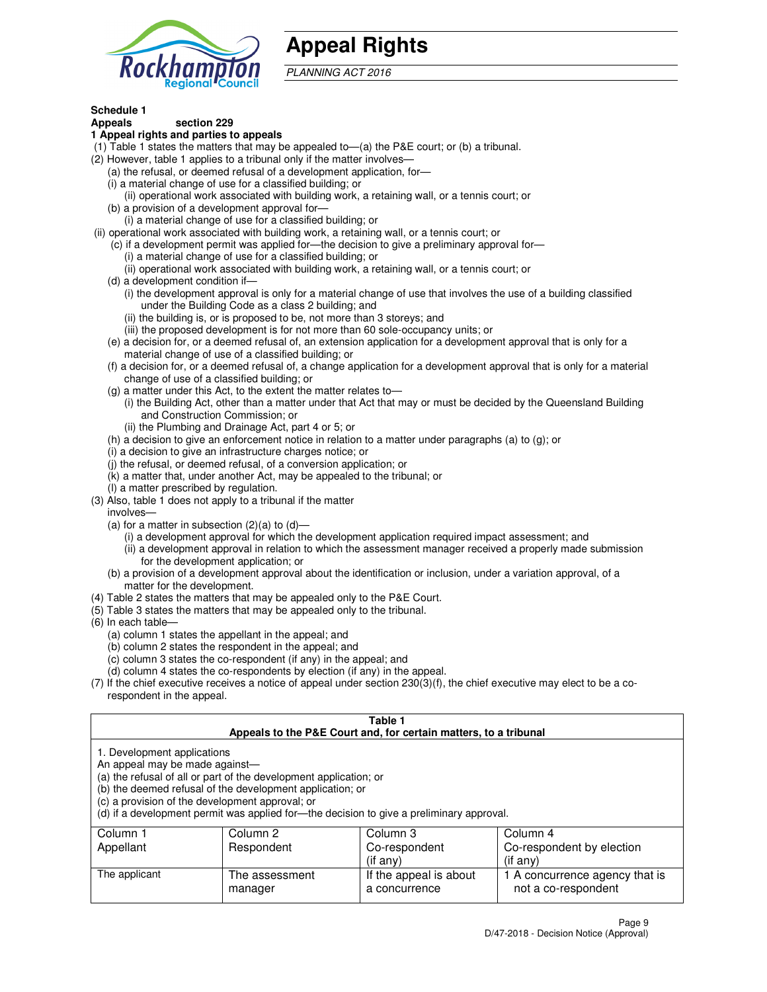

## **Appeal Rights**

PLANNING ACT 2016

## **Schedule 1**

## **Appeals section 229**

#### **1 Appeal rights and parties to appeals**

- (1) Table 1 states the matters that may be appealed to—(a) the P&E court; or (b) a tribunal.
- (2) However, table 1 applies to a tribunal only if the matter involves—
	- (a) the refusal, or deemed refusal of a development application, for—
	- (i) a material change of use for a classified building; or
	- (ii) operational work associated with building work, a retaining wall, or a tennis court; or
	- (b) a provision of a development approval for—
	- (i) a material change of use for a classified building; or
- (ii) operational work associated with building work, a retaining wall, or a tennis court; or
	- (c) if a development permit was applied for—the decision to give a preliminary approval for—
		- (i) a material change of use for a classified building; or
		- (ii) operational work associated with building work, a retaining wall, or a tennis court; or
	- (d) a development condition if—
		- (i) the development approval is only for a material change of use that involves the use of a building classified under the Building Code as a class 2 building; and
		- (ii) the building is, or is proposed to be, not more than 3 storeys; and
		- (iii) the proposed development is for not more than 60 sole-occupancy units; or
	- (e) a decision for, or a deemed refusal of, an extension application for a development approval that is only for a material change of use of a classified building; or
	- (f) a decision for, or a deemed refusal of, a change application for a development approval that is only for a material change of use of a classified building; or
	- (g) a matter under this Act, to the extent the matter relates to—
		- (i) the Building Act, other than a matter under that Act that may or must be decided by the Queensland Building and Construction Commission; or
		- (ii) the Plumbing and Drainage Act, part 4 or 5; or
	- (h) a decision to give an enforcement notice in relation to a matter under paragraphs (a) to (g); or
	- (i) a decision to give an infrastructure charges notice; or
	- (j) the refusal, or deemed refusal, of a conversion application; or
	- (k) a matter that, under another Act, may be appealed to the tribunal; or
	- (l) a matter prescribed by regulation.
- (3) Also, table 1 does not apply to a tribunal if the matter
	- involves—
	- (a) for a matter in subsection  $(2)(a)$  to  $(d)$ 
		- (i) a development approval for which the development application required impact assessment; and
		- (ii) a development approval in relation to which the assessment manager received a properly made submission for the development application; or
	- (b) a provision of a development approval about the identification or inclusion, under a variation approval, of a matter for the development.
- (4) Table 2 states the matters that may be appealed only to the P&E Court.
- (5) Table 3 states the matters that may be appealed only to the tribunal.
- (6) In each table—
	- (a) column 1 states the appellant in the appeal; and
	- (b) column 2 states the respondent in the appeal; and
	- (c) column 3 states the co-respondent (if any) in the appeal; and
	- (d) column 4 states the co-respondents by election (if any) in the appeal.
- $(7)$  If the chief executive receives a notice of appeal under section  $230(3)(f)$ , the chief executive may elect to be a corespondent in the appeal.

| Table 1<br>Appeals to the P&E Court and, for certain matters, to a tribunal                                      |                                                                                                                                |                                                                                          |                                                       |  |  |
|------------------------------------------------------------------------------------------------------------------|--------------------------------------------------------------------------------------------------------------------------------|------------------------------------------------------------------------------------------|-------------------------------------------------------|--|--|
| 1. Development applications<br>An appeal may be made against-<br>(c) a provision of the development approval; or | (a) the refusal of all or part of the development application; or<br>(b) the deemed refusal of the development application; or | (d) if a development permit was applied for—the decision to give a preliminary approval. |                                                       |  |  |
| Column 4<br>Column 1<br>Column 2<br>Column 3                                                                     |                                                                                                                                |                                                                                          |                                                       |  |  |
| Respondent<br>Co-respondent<br>Co-respondent by election<br>Appellant                                            |                                                                                                                                |                                                                                          |                                                       |  |  |
| (if any)<br>$($ if any $)$                                                                                       |                                                                                                                                |                                                                                          |                                                       |  |  |
| The applicant                                                                                                    | The assessment<br>manager                                                                                                      | If the appeal is about<br>a concurrence                                                  | 1 A concurrence agency that is<br>not a co-respondent |  |  |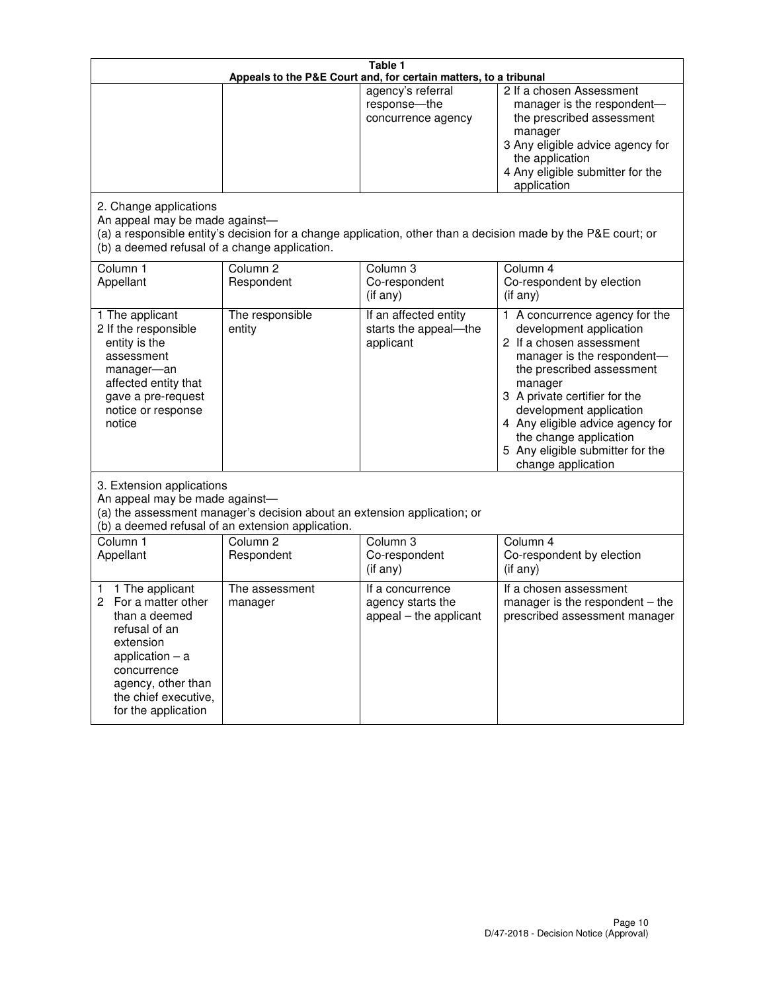| Table 1<br>Appeals to the P&E Court and, for certain matters, to a tribunal                                                                                                                             |                                   |                                                                 |                                                                                                                                                                                                                                                                                                                                                     |  |
|---------------------------------------------------------------------------------------------------------------------------------------------------------------------------------------------------------|-----------------------------------|-----------------------------------------------------------------|-----------------------------------------------------------------------------------------------------------------------------------------------------------------------------------------------------------------------------------------------------------------------------------------------------------------------------------------------------|--|
|                                                                                                                                                                                                         |                                   | agency's referral<br>response-the<br>concurrence agency         | 2 If a chosen Assessment<br>manager is the respondent-<br>the prescribed assessment<br>manager<br>3 Any eligible advice agency for<br>the application<br>4 Any eligible submitter for the<br>application                                                                                                                                            |  |
| 2. Change applications<br>An appeal may be made against-<br>(b) a deemed refusal of a change application.                                                                                               |                                   |                                                                 | (a) a responsible entity's decision for a change application, other than a decision made by the P&E court; or                                                                                                                                                                                                                                       |  |
| Column <sub>1</sub><br>Appellant                                                                                                                                                                        | Column <sub>2</sub><br>Respondent | Column <sub>3</sub><br>Co-respondent<br>(if any)                | Column 4<br>Co-respondent by election<br>(if any)                                                                                                                                                                                                                                                                                                   |  |
| 1 The applicant<br>2 If the responsible<br>entity is the<br>assessment<br>manager-an<br>affected entity that<br>gave a pre-request<br>notice or response<br>notice                                      | The responsible<br>entity         | If an affected entity<br>starts the appeal-the<br>applicant     | A concurrence agency for the<br>1.<br>development application<br>2 If a chosen assessment<br>manager is the respondent-<br>the prescribed assessment<br>manager<br>3 A private certifier for the<br>development application<br>4 Any eligible advice agency for<br>the change application<br>5 Any eligible submitter for the<br>change application |  |
| 3. Extension applications<br>An appeal may be made against-<br>(a) the assessment manager's decision about an extension application; or<br>(b) a deemed refusal of an extension application.            |                                   |                                                                 |                                                                                                                                                                                                                                                                                                                                                     |  |
| Column 1<br>Appellant                                                                                                                                                                                   | Column <sub>2</sub><br>Respondent | Column <sub>3</sub><br>Co-respondent<br>(if any)                | Column 4<br>Co-respondent by election<br>(if any)                                                                                                                                                                                                                                                                                                   |  |
| 1 The applicant<br>1<br>For a matter other<br>2<br>than a deemed<br>refusal of an<br>extension<br>application $-$ a<br>concurrence<br>agency, other than<br>the chief executive,<br>for the application | The assessment<br>manager         | If a concurrence<br>agency starts the<br>appeal - the applicant | If a chosen assessment<br>manager is the respondent - the<br>prescribed assessment manager                                                                                                                                                                                                                                                          |  |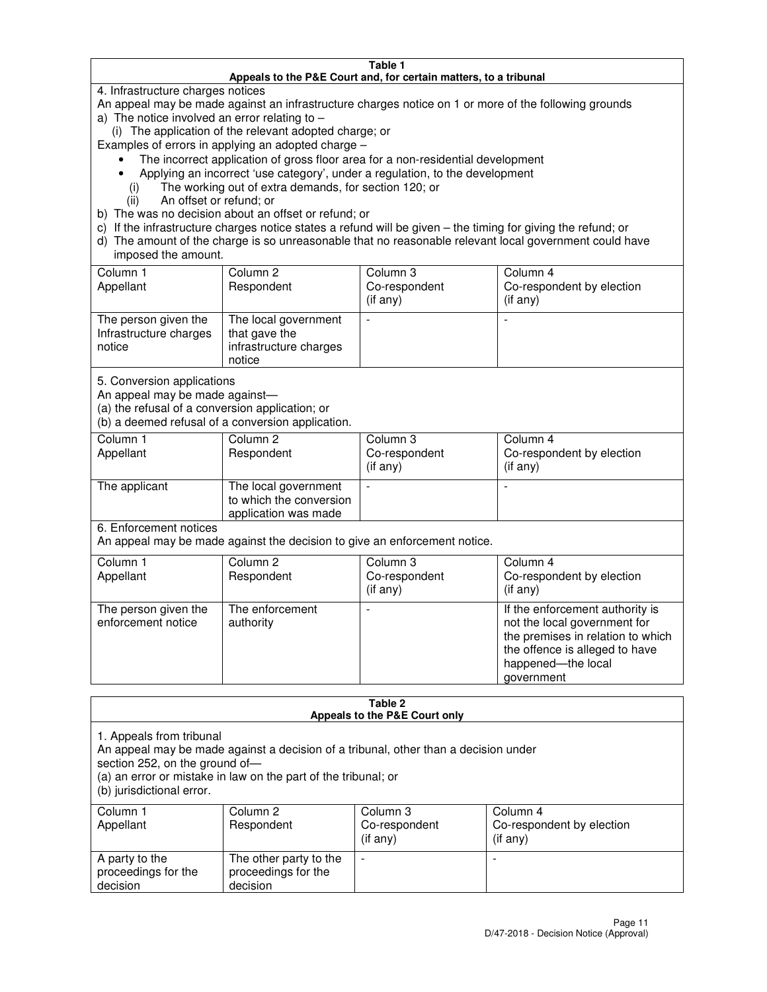#### **Table 1 Appeals to the P&E Court and, for certain matters, to a tribunal**

4. Infrastructure charges notices

An appeal may be made against an infrastructure charges notice on 1 or more of the following grounds

- a) The notice involved an error relating to
	- (i) The application of the relevant adopted charge; or

Examples of errors in applying an adopted charge –

- The incorrect application of gross floor area for a non-residential development
- Applying an incorrect 'use category', under a regulation, to the development
	- (i) The working out of extra demands, for section 120; or
	- (ii) An offset or refund; or
- b) The was no decision about an offset or refund; or
- c) If the infrastructure charges notice states a refund will be given the timing for giving the refund; or
- d) The amount of the charge is so unreasonable that no reasonable relevant local government could have imposed the amount.

| Column 1<br>Appellant                                    | Column 2<br>Respondent                                                    | Column 3<br>Co-respondent<br>$($ if any $)$ | Column 4<br>Co-respondent by election<br>$($ if any $)$ |
|----------------------------------------------------------|---------------------------------------------------------------------------|---------------------------------------------|---------------------------------------------------------|
| The person given the<br>Infrastructure charges<br>notice | The local government<br>that gave the<br>infrastructure charges<br>notice |                                             |                                                         |

5. Conversion applications

An appeal may be made against—

(a) the refusal of a conversion application; or

(b) a deemed refusal of a conversion application.

| Column 1<br>Appellant | Column 2<br>Respondent                                                  | Column 3<br>Co-respondent<br>$($ if any $)$ | Column 4<br>Co-respondent by election<br>$($ if any $)$ |
|-----------------------|-------------------------------------------------------------------------|---------------------------------------------|---------------------------------------------------------|
| The applicant         | The local government<br>to which the conversion<br>application was made |                                             |                                                         |

6. Enforcement notices

An appeal may be made against the decision to give an enforcement notice.

| Column 1<br>Appellant                      | Column 2<br>Respondent       | Column 3<br>Co-respondent<br>$($ if any $)$ | Column 4<br>Co-respondent by election<br>(if any)                                                                                                                          |
|--------------------------------------------|------------------------------|---------------------------------------------|----------------------------------------------------------------------------------------------------------------------------------------------------------------------------|
| The person given the<br>enforcement notice | The enforcement<br>authority |                                             | If the enforcement authority is<br>not the local government for<br>the premises in relation to which<br>the offence is alleged to have<br>happened-the local<br>government |

#### **Table 2 Appeals to the P&E Court only**

1. Appeals from tribunal

An appeal may be made against a decision of a tribunal, other than a decision under

section 252, on the ground of—

(a) an error or mistake in law on the part of the tribunal; or

(b) jurisdictional error.

| Column 1<br>Appellant                             | Column 2<br>Respondent                                    | Column 3<br>Co-respondent<br>(if any) | Column 4<br>Co-respondent by election<br>(if any) |
|---------------------------------------------------|-----------------------------------------------------------|---------------------------------------|---------------------------------------------------|
| A party to the<br>proceedings for the<br>decision | The other party to the<br>proceedings for the<br>decision | $\overline{\phantom{a}}$              |                                                   |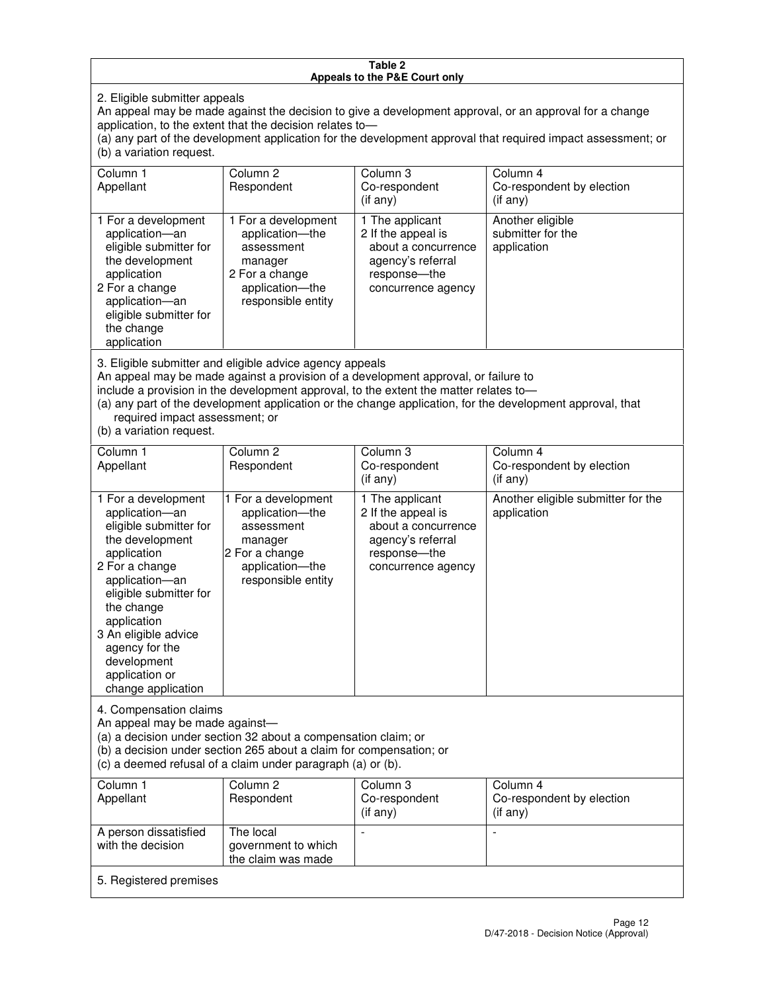#### **Table 2 Appeals to the P&E Court only**

2. Eligible submitter appeals

An appeal may be made against the decision to give a development approval, or an approval for a change application, to the extent that the decision relates to—

(a) any part of the development application for the development approval that required impact assessment; or (b) a variation request.

| Column 1<br>Appellant                                                                                                                                                                                                                                                                                                                                                                                              | Column 2<br>Respondent                                                                                                     | Column 3<br>Co-respondent<br>(if any)                                                                                     | Column 4<br>Co-respondent by election<br>(i f any)   |
|--------------------------------------------------------------------------------------------------------------------------------------------------------------------------------------------------------------------------------------------------------------------------------------------------------------------------------------------------------------------------------------------------------------------|----------------------------------------------------------------------------------------------------------------------------|---------------------------------------------------------------------------------------------------------------------------|------------------------------------------------------|
| 1 For a development<br>application-an<br>eligible submitter for<br>the development<br>application<br>2 For a change<br>application-an<br>eligible submitter for<br>the change<br>application                                                                                                                                                                                                                       | 1 For a development<br>application-the<br>assessment<br>manager<br>2 For a change<br>application-the<br>responsible entity | 1 The applicant<br>2 If the appeal is<br>about a concurrence<br>agency's referral<br>response---the<br>concurrence agency | Another eligible<br>submitter for the<br>application |
| 3. Eligible submitter and eligible advice agency appeals<br>An appeal may be made against a provision of a development approval, or failure to<br>include a provision in the development approval, to the extent the matter relates to-<br>(a) any part of the development application or the change application, for the development approval, that<br>required impact assessment; or<br>(b) a variation request. |                                                                                                                            |                                                                                                                           |                                                      |
| Column 1<br>Appellant                                                                                                                                                                                                                                                                                                                                                                                              | Column <sub>2</sub><br>Respondent                                                                                          | Column 3<br>Co-respondent<br>(if any)                                                                                     | Column 4<br>Co-respondent by election<br>(if any)    |
| 1 For a development<br>application-an<br>eligible submitter for<br>the development<br>application                                                                                                                                                                                                                                                                                                                  | 1 For a development<br>application-the<br>assessment<br>manager<br>2 For a change                                          | 1 The applicant<br>2 If the appeal is<br>about a concurrence<br>agency's referral<br>response---the                       | Another eligible submitter for the<br>application    |

concurrence agency

change application 4. Compensation claims

2 For a change application—an eligible submitter for

the change application 3 An eligible advice agency for the development application or

An appeal may be made against—

(a) a decision under section 32 about a compensation claim; or

(b) a decision under section 265 about a claim for compensation; or

application—the responsible entity

(c) a deemed refusal of a claim under paragraph (a) or (b).

| Column 1<br>Appellant                      | Column 2<br>Respondent                                 | Column 3<br>Co-respondent<br>$($ if any $)$ | Column 4<br>Co-respondent by election<br>(if any) |
|--------------------------------------------|--------------------------------------------------------|---------------------------------------------|---------------------------------------------------|
| A person dissatisfied<br>with the decision | The local<br>government to which<br>the claim was made |                                             |                                                   |
| 5. Registered premises                     |                                                        |                                             |                                                   |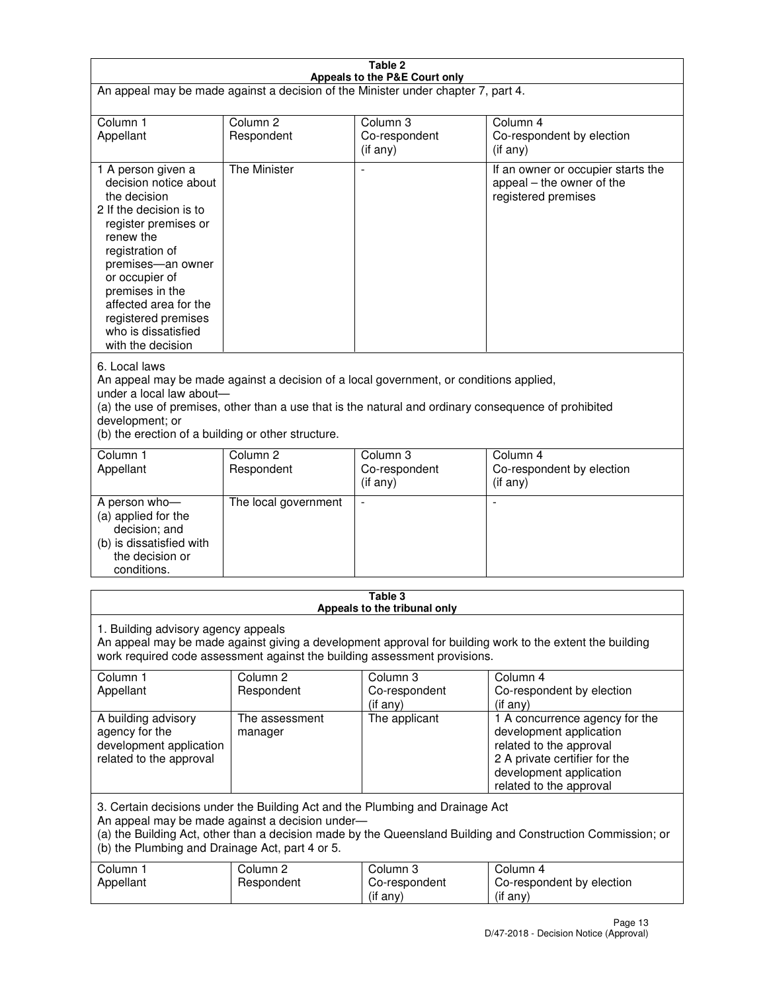| Table 2                                                                                                                                                                                                                                                                                                              |                                   |                                         |                                                                                                                                                                             |  |
|----------------------------------------------------------------------------------------------------------------------------------------------------------------------------------------------------------------------------------------------------------------------------------------------------------------------|-----------------------------------|-----------------------------------------|-----------------------------------------------------------------------------------------------------------------------------------------------------------------------------|--|
| Appeals to the P&E Court only<br>An appeal may be made against a decision of the Minister under chapter 7, part 4.                                                                                                                                                                                                   |                                   |                                         |                                                                                                                                                                             |  |
| Column 1                                                                                                                                                                                                                                                                                                             | Column <sub>2</sub>               | Column <sub>3</sub>                     | Column 4                                                                                                                                                                    |  |
| Appellant                                                                                                                                                                                                                                                                                                            | Respondent                        | Co-respondent<br>$($ if any $)$         | Co-respondent by election<br>(if any)                                                                                                                                       |  |
| 1 A person given a<br>decision notice about<br>the decision<br>2 If the decision is to<br>register premises or<br>renew the<br>registration of<br>premises-an owner<br>or occupier of<br>premises in the<br>affected area for the<br>registered premises<br>who is dissatisfied<br>with the decision                 | <b>The Minister</b>               | ÷,                                      | If an owner or occupier starts the<br>appeal – the owner of the<br>registered premises                                                                                      |  |
| 6. Local laws<br>An appeal may be made against a decision of a local government, or conditions applied,<br>under a local law about-<br>(a) the use of premises, other than a use that is the natural and ordinary consequence of prohibited<br>development; or<br>(b) the erection of a building or other structure. |                                   |                                         |                                                                                                                                                                             |  |
| Column 1<br>Appellant                                                                                                                                                                                                                                                                                                | Column 2<br>Respondent            | Column 3<br>Co-respondent<br>(if any)   | Column 4<br>Co-respondent by election<br>(if any)                                                                                                                           |  |
| A person who-<br>(a) applied for the<br>decision; and<br>(b) is dissatisfied with<br>the decision or<br>conditions.                                                                                                                                                                                                  | The local government              |                                         |                                                                                                                                                                             |  |
|                                                                                                                                                                                                                                                                                                                      |                                   | Table 3<br>Appeals to the tribunal only |                                                                                                                                                                             |  |
| 1. Building advisory agency appeals<br>An appeal may be made against giving a development approval for building work to the extent the building<br>work required code assessment against the building assessment provisions.                                                                                         |                                   |                                         |                                                                                                                                                                             |  |
| Column 1<br>Appellant                                                                                                                                                                                                                                                                                                | Column <sub>2</sub><br>Respondent | Column 3<br>Co-respondent<br>(if any)   | Column 4<br>Co-respondent by election<br>(if any)                                                                                                                           |  |
| A building advisory<br>agency for the<br>development application<br>related to the approval                                                                                                                                                                                                                          | The assessment<br>manager         | The applicant                           | 1 A concurrence agency for the<br>development application<br>related to the approval<br>2 A private certifier for the<br>development application<br>related to the approval |  |
| 3. Certain decisions under the Building Act and the Plumbing and Drainage Act<br>An appeal may be made against a decision under-<br>(a) the Building Act, other than a decision made by the Queensland Building and Construction Commission; or<br>(b) the Plumbing and Drainage Act, part 4 or 5.                   |                                   |                                         |                                                                                                                                                                             |  |
| Column 1<br>Appellant                                                                                                                                                                                                                                                                                                | Column <sub>2</sub><br>Respondent | Column 3<br>Co-respondent<br>(if any)   | Column 4<br>Co-respondent by election<br>(if any)                                                                                                                           |  |